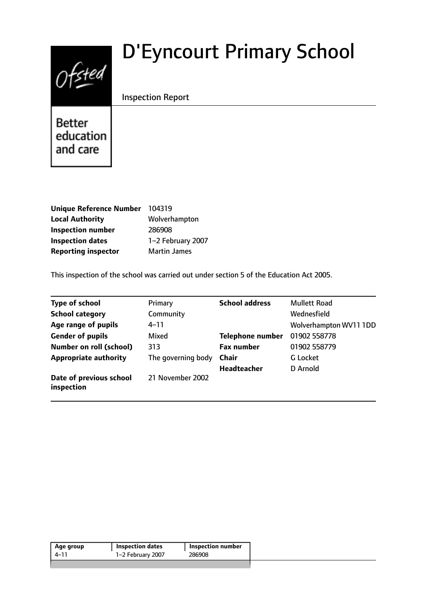# $0$ fsted

# D'Eyncourt Primary School

# Inspection Report

**Better** education and care

| <b>Unique Reference Number</b> | 104319              |
|--------------------------------|---------------------|
| <b>Local Authority</b>         | Wolverhampton       |
| <b>Inspection number</b>       | 286908              |
| <b>Inspection dates</b>        | 1-2 February 2007   |
| <b>Reporting inspector</b>     | <b>Martin James</b> |

This inspection of the school was carried out under section 5 of the Education Act 2005.

| <b>Type of school</b>                 | Primary            | <b>School address</b>   | <b>Mullett Road</b>    |
|---------------------------------------|--------------------|-------------------------|------------------------|
| <b>School category</b>                | Community          |                         | Wednesfield            |
| Age range of pupils                   | $4 - 11$           |                         | Wolverhampton WV11 1DD |
| <b>Gender of pupils</b>               | Mixed              | <b>Telephone number</b> | 01902 558778           |
| <b>Number on roll (school)</b>        | 313                | <b>Fax number</b>       | 01902 558779           |
| <b>Appropriate authority</b>          | The governing body | <b>Chair</b>            | G Locket               |
|                                       |                    | <b>Headteacher</b>      | D Arnold               |
| Date of previous school<br>inspection | 21 November 2002   |                         |                        |

| Age group | <b>Inspection dates</b> | <b>Inspection number</b> |  |
|-----------|-------------------------|--------------------------|--|
| 4–11      | 1-2 February 2007       | 286908                   |  |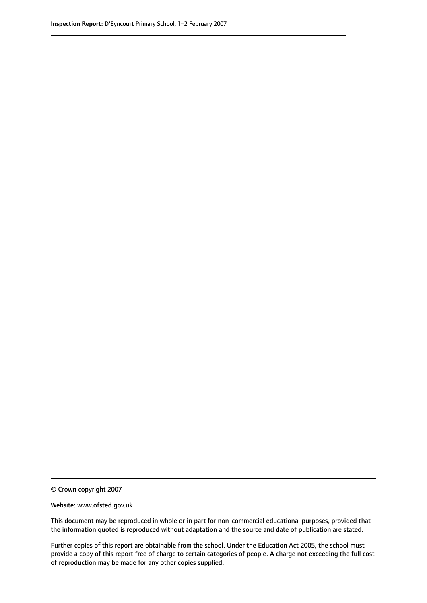© Crown copyright 2007

Website: www.ofsted.gov.uk

This document may be reproduced in whole or in part for non-commercial educational purposes, provided that the information quoted is reproduced without adaptation and the source and date of publication are stated.

Further copies of this report are obtainable from the school. Under the Education Act 2005, the school must provide a copy of this report free of charge to certain categories of people. A charge not exceeding the full cost of reproduction may be made for any other copies supplied.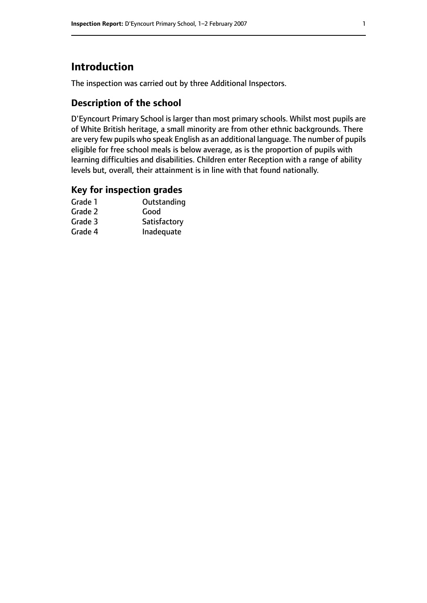# **Introduction**

The inspection was carried out by three Additional Inspectors.

## **Description of the school**

D'Eyncourt Primary School is larger than most primary schools. Whilst most pupils are of White British heritage, a small minority are from other ethnic backgrounds. There are very few pupils who speak English as an additional language. The number of pupils eligible for free school meals is below average, as is the proportion of pupils with learning difficulties and disabilities. Children enter Reception with a range of ability levels but, overall, their attainment is in line with that found nationally.

#### **Key for inspection grades**

| Grade 1 | Outstanding  |
|---------|--------------|
| Grade 2 | Good         |
| Grade 3 | Satisfactory |
| Grade 4 | Inadequate   |
|         |              |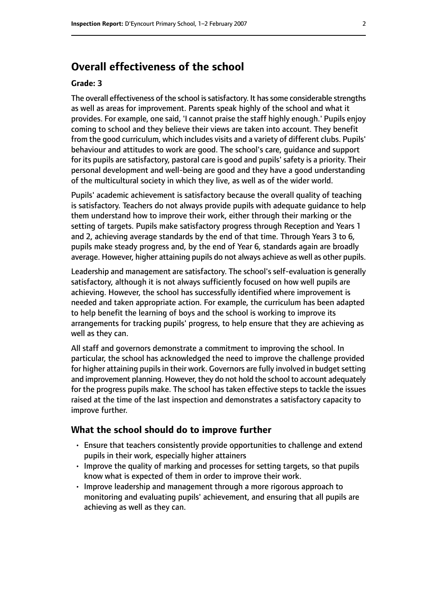# **Overall effectiveness of the school**

#### **Grade: 3**

The overall effectiveness of the school is satisfactory. It has some considerable strengths as well as areas for improvement. Parents speak highly of the school and what it provides. For example, one said, 'I cannot praise the staff highly enough.' Pupils enjoy coming to school and they believe their views are taken into account. They benefit from the good curriculum, which includes visits and a variety of different clubs. Pupils' behaviour and attitudes to work are good. The school's care, guidance and support for its pupils are satisfactory, pastoral care is good and pupils' safety is a priority. Their personal development and well-being are good and they have a good understanding of the multicultural society in which they live, as well as of the wider world.

Pupils' academic achievement is satisfactory because the overall quality of teaching is satisfactory. Teachers do not always provide pupils with adequate guidance to help them understand how to improve their work, either through their marking or the setting of targets. Pupils make satisfactory progress through Reception and Years 1 and 2, achieving average standards by the end of that time. Through Years 3 to 6, pupils make steady progress and, by the end of Year 6, standards again are broadly average. However, higher attaining pupils do not always achieve as well as other pupils.

Leadership and management are satisfactory. The school's self-evaluation is generally satisfactory, although it is not always sufficiently focused on how well pupils are achieving. However, the school has successfully identified where improvement is needed and taken appropriate action. For example, the curriculum has been adapted to help benefit the learning of boys and the school is working to improve its arrangements for tracking pupils' progress, to help ensure that they are achieving as well as they can.

All staff and governors demonstrate a commitment to improving the school. In particular, the school has acknowledged the need to improve the challenge provided for higher attaining pupils in their work. Governors are fully involved in budget setting and improvement planning. However, they do not hold the school to account adequately for the progress pupils make. The school has taken effective steps to tackle the issues raised at the time of the last inspection and demonstrates a satisfactory capacity to improve further.

#### **What the school should do to improve further**

- Ensure that teachers consistently provide opportunities to challenge and extend pupils in their work, especially higher attainers
- Improve the quality of marking and processes for setting targets, so that pupils know what is expected of them in order to improve their work.
- Improve leadership and management through a more rigorous approach to monitoring and evaluating pupils' achievement, and ensuring that all pupils are achieving as well as they can.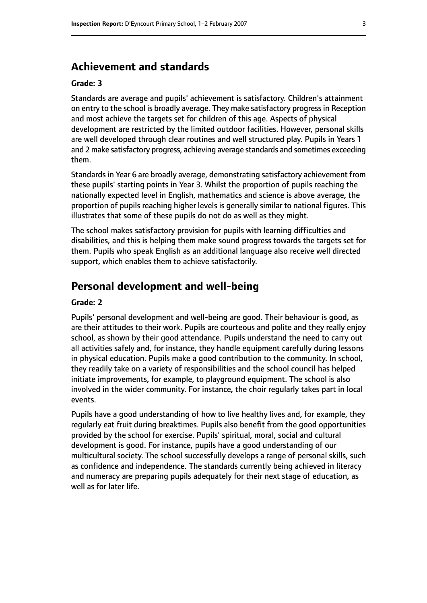# **Achievement and standards**

#### **Grade: 3**

Standards are average and pupils' achievement is satisfactory. Children's attainment on entry to the school is broadly average. They make satisfactory progressin Reception and most achieve the targets set for children of this age. Aspects of physical development are restricted by the limited outdoor facilities. However, personal skills are well developed through clear routines and well structured play. Pupils in Years 1 and 2 make satisfactory progress, achieving average standards and sometimes exceeding them.

Standards in Year 6 are broadly average, demonstrating satisfactory achievement from these pupils' starting points in Year 3. Whilst the proportion of pupils reaching the nationally expected level in English, mathematics and science is above average, the proportion of pupils reaching higher levels is generally similar to national figures. This illustrates that some of these pupils do not do as well as they might.

The school makes satisfactory provision for pupils with learning difficulties and disabilities, and this is helping them make sound progress towards the targets set for them. Pupils who speak English as an additional language also receive well directed support, which enables them to achieve satisfactorily.

# **Personal development and well-being**

#### **Grade: 2**

Pupils' personal development and well-being are good. Their behaviour is good, as are their attitudes to their work. Pupils are courteous and polite and they really enjoy school, as shown by their good attendance. Pupils understand the need to carry out all activities safely and, for instance, they handle equipment carefully during lessons in physical education. Pupils make a good contribution to the community. In school, they readily take on a variety of responsibilities and the school council has helped initiate improvements, for example, to playground equipment. The school is also involved in the wider community. For instance, the choir regularly takes part in local events.

Pupils have a good understanding of how to live healthy lives and, for example, they regularly eat fruit during breaktimes. Pupils also benefit from the good opportunities provided by the school for exercise. Pupils' spiritual, moral, social and cultural development is good. For instance, pupils have a good understanding of our multicultural society. The school successfully develops a range of personal skills, such as confidence and independence. The standards currently being achieved in literacy and numeracy are preparing pupils adequately for their next stage of education, as well as for later life.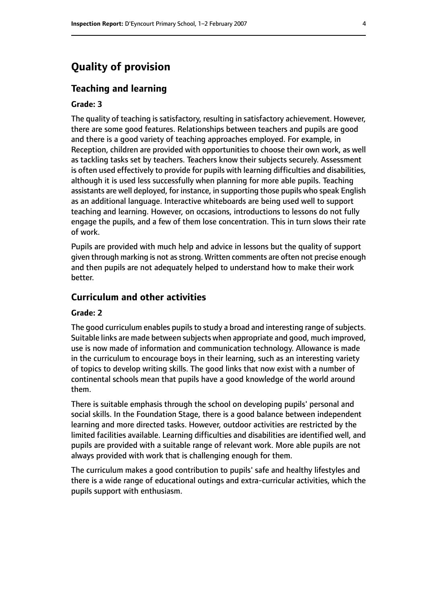# **Quality of provision**

#### **Teaching and learning**

#### **Grade: 3**

The quality of teaching is satisfactory, resulting in satisfactory achievement. However, there are some good features. Relationships between teachers and pupils are good and there is a good variety of teaching approaches employed. For example, in Reception, children are provided with opportunities to choose their own work, as well as tackling tasks set by teachers. Teachers know their subjects securely. Assessment is often used effectively to provide for pupils with learning difficulties and disabilities, although it is used less successfully when planning for more able pupils. Teaching assistants are well deployed, for instance, in supporting those pupils who speak English as an additional language. Interactive whiteboards are being used well to support teaching and learning. However, on occasions, introductions to lessons do not fully engage the pupils, and a few of them lose concentration. This in turn slows their rate of work.

Pupils are provided with much help and advice in lessons but the quality of support given through marking is not as strong. Written comments are often not precise enough and then pupils are not adequately helped to understand how to make their work better.

### **Curriculum and other activities**

#### **Grade: 2**

The good curriculum enables pupils to study a broad and interesting range of subjects. Suitable links are made between subjects when appropriate and good, much improved, use is now made of information and communication technology. Allowance is made in the curriculum to encourage boys in their learning, such as an interesting variety of topics to develop writing skills. The good links that now exist with a number of continental schools mean that pupils have a good knowledge of the world around them.

There is suitable emphasis through the school on developing pupils' personal and social skills. In the Foundation Stage, there is a good balance between independent learning and more directed tasks. However, outdoor activities are restricted by the limited facilities available. Learning difficulties and disabilities are identified well, and pupils are provided with a suitable range of relevant work. More able pupils are not always provided with work that is challenging enough for them.

The curriculum makes a good contribution to pupils' safe and healthy lifestyles and there is a wide range of educational outings and extra-curricular activities, which the pupils support with enthusiasm.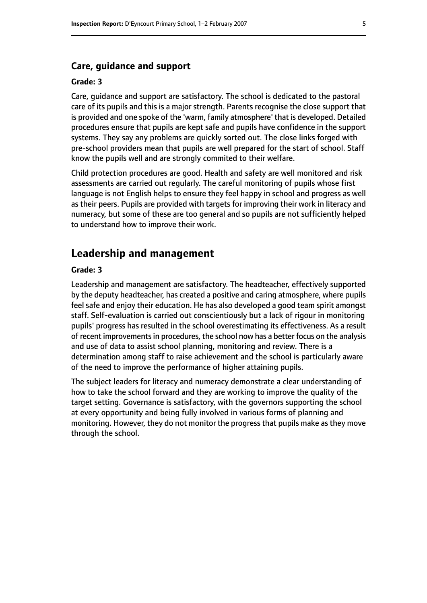#### **Care, guidance and support**

#### **Grade: 3**

Care, guidance and support are satisfactory. The school is dedicated to the pastoral care of its pupils and this is a major strength. Parents recognise the close support that is provided and one spoke of the 'warm, family atmosphere' that is developed. Detailed procedures ensure that pupils are kept safe and pupils have confidence in the support systems. They say any problems are quickly sorted out. The close links forged with pre-school providers mean that pupils are well prepared for the start of school. Staff know the pupils well and are strongly commited to their welfare.

Child protection procedures are good. Health and safety are well monitored and risk assessments are carried out regularly. The careful monitoring of pupils whose first language is not English helps to ensure they feel happy in school and progress as well as their peers. Pupils are provided with targets for improving their work in literacy and numeracy, but some of these are too general and so pupils are not sufficiently helped to understand how to improve their work.

# **Leadership and management**

#### **Grade: 3**

Leadership and management are satisfactory. The headteacher, effectively supported by the deputy headteacher, has created a positive and caring atmosphere, where pupils feel safe and enjoy their education. He has also developed a good team spirit amongst staff. Self-evaluation is carried out conscientiously but a lack of rigour in monitoring pupils' progress has resulted in the school overestimating its effectiveness. As a result of recent improvementsin procedures, the school now has a better focus on the analysis and use of data to assist school planning, monitoring and review. There is a determination among staff to raise achievement and the school is particularly aware of the need to improve the performance of higher attaining pupils.

The subject leaders for literacy and numeracy demonstrate a clear understanding of how to take the school forward and they are working to improve the quality of the target setting. Governance is satisfactory, with the governors supporting the school at every opportunity and being fully involved in various forms of planning and monitoring. However, they do not monitor the progress that pupils make as they move through the school.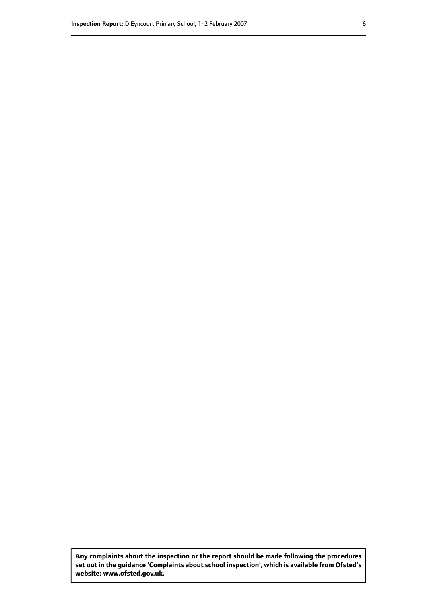**Any complaints about the inspection or the report should be made following the procedures set out inthe guidance 'Complaints about school inspection', whichis available from Ofsted's website: www.ofsted.gov.uk.**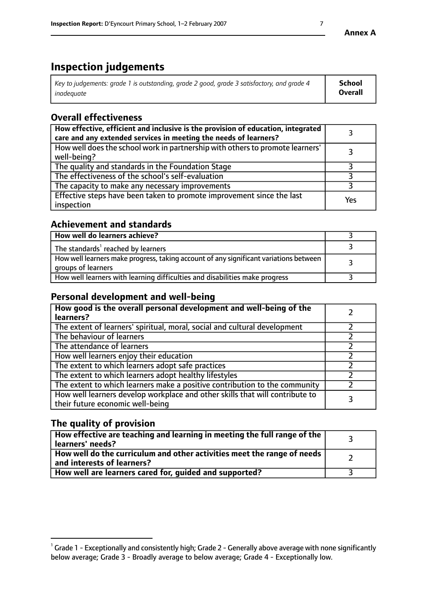# **Inspection judgements**

| Key to judgements: grade 1 is outstanding, grade 2 good, grade 3 satisfactory, and grade 4 | School         |
|--------------------------------------------------------------------------------------------|----------------|
| inadeauate                                                                                 | <b>Overall</b> |

# **Overall effectiveness**

| How effective, efficient and inclusive is the provision of education, integrated<br>care and any extended services in meeting the needs of learners? |     |
|------------------------------------------------------------------------------------------------------------------------------------------------------|-----|
| How well does the school work in partnership with others to promote learners'<br>well-being?                                                         |     |
| The quality and standards in the Foundation Stage                                                                                                    |     |
| The effectiveness of the school's self-evaluation                                                                                                    |     |
| The capacity to make any necessary improvements                                                                                                      |     |
| Effective steps have been taken to promote improvement since the last<br>inspection                                                                  | Yes |

# **Achievement and standards**

| How well do learners achieve?                                                                               |  |
|-------------------------------------------------------------------------------------------------------------|--|
| The standards <sup>1</sup> reached by learners                                                              |  |
| How well learners make progress, taking account of any significant variations between<br>groups of learners |  |
| How well learners with learning difficulties and disabilities make progress                                 |  |

# **Personal development and well-being**

| How good is the overall personal development and well-being of the<br>learners?                                  |  |
|------------------------------------------------------------------------------------------------------------------|--|
| The extent of learners' spiritual, moral, social and cultural development                                        |  |
| The behaviour of learners                                                                                        |  |
| The attendance of learners                                                                                       |  |
| How well learners enjoy their education                                                                          |  |
| The extent to which learners adopt safe practices                                                                |  |
| The extent to which learners adopt healthy lifestyles                                                            |  |
| The extent to which learners make a positive contribution to the community                                       |  |
| How well learners develop workplace and other skills that will contribute to<br>their future economic well-being |  |

# **The quality of provision**

| $\Box$ How effective are teaching and learning in meeting the full range of the $\Box$<br>  learners' needs?        |  |
|---------------------------------------------------------------------------------------------------------------------|--|
| $\mid$ How well do the curriculum and other activities meet the range of needs<br>$\mid$ and interests of learners? |  |
| How well are learners cared for, guided and supported?                                                              |  |

 $^1$  Grade 1 - Exceptionally and consistently high; Grade 2 - Generally above average with none significantly below average; Grade 3 - Broadly average to below average; Grade 4 - Exceptionally low.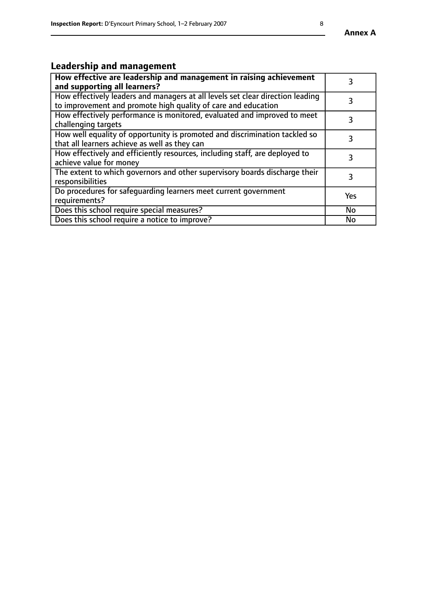#### **Annex A**

# **Leadership and management**

| How effective are leadership and management in raising achievement<br>and supporting all learners?                                              |     |
|-------------------------------------------------------------------------------------------------------------------------------------------------|-----|
| How effectively leaders and managers at all levels set clear direction leading<br>to improvement and promote high quality of care and education |     |
| How effectively performance is monitored, evaluated and improved to meet<br>challenging targets                                                 | 3   |
| How well equality of opportunity is promoted and discrimination tackled so<br>that all learners achieve as well as they can                     |     |
| How effectively and efficiently resources, including staff, are deployed to<br>achieve value for money                                          | З   |
| The extent to which governors and other supervisory boards discharge their<br>responsibilities                                                  | 3   |
| Do procedures for safequarding learners meet current government<br>requirements?                                                                | Yes |
| Does this school require special measures?                                                                                                      | No  |
| Does this school require a notice to improve?                                                                                                   | No  |